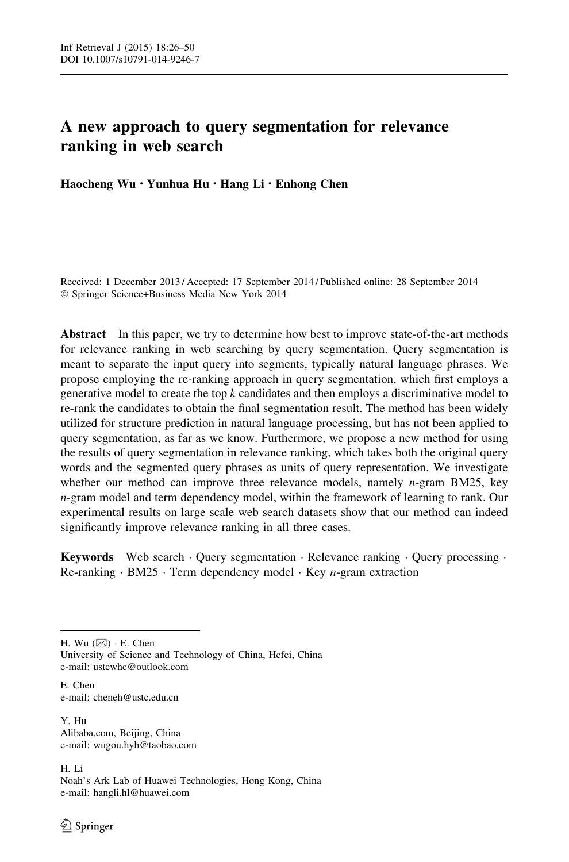# A new approach to query segmentation for relevance ranking in web search

Haocheng Wu • Yunhua Hu • Hang Li • Enhong Chen

Received: 1 December 2013 / Accepted: 17 September 2014 / Published online: 28 September 2014 - Springer Science+Business Media New York 2014

Abstract In this paper, we try to determine how best to improve state-of-the-art methods for relevance ranking in web searching by query segmentation. Query segmentation is meant to separate the input query into segments, typically natural language phrases. We propose employing the re-ranking approach in query segmentation, which first employs a generative model to create the top  $k$  candidates and then employs a discriminative model to re-rank the candidates to obtain the final segmentation result. The method has been widely utilized for structure prediction in natural language processing, but has not been applied to query segmentation, as far as we know. Furthermore, we propose a new method for using the results of query segmentation in relevance ranking, which takes both the original query words and the segmented query phrases as units of query representation. We investigate whether our method can improve three relevance models, namely  $n$ -gram BM25, key n-gram model and term dependency model, within the framework of learning to rank. Our experimental results on large scale web search datasets show that our method can indeed significantly improve relevance ranking in all three cases.

Keywords Web search · Query segmentation · Relevance ranking · Query processing · Re-ranking · BM25 · Term dependency model · Key *n*-gram extraction

H. Wu  $(\boxtimes) \cdot$  E. Chen University of Science and Technology of China, Hefei, China e-mail: ustcwhc@outlook.com

E. Chen e-mail: cheneh@ustc.edu.cn

Y. Hu Alibaba.com, Beijing, China e-mail: wugou.hyh@taobao.com

H. Li Noah's Ark Lab of Huawei Technologies, Hong Kong, China e-mail: hangli.hl@huawei.com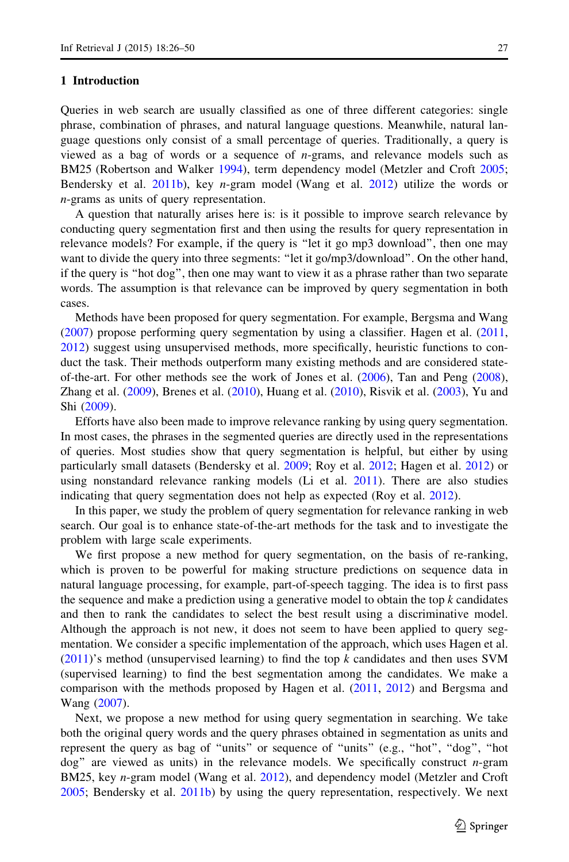### 1 Introduction

Queries in web search are usually classified as one of three different categories: single phrase, combination of phrases, and natural language questions. Meanwhile, natural language questions only consist of a small percentage of queries. Traditionally, a query is viewed as a bag of words or a sequence of  $n$ -grams, and relevance models such as BM25 (Robertson and Walker [1994\)](#page-24-0), term dependency model (Metzler and Croft [2005;](#page-24-0) Bendersky et al. [2011b](#page-24-0)), key n-gram model (Wang et al. [2012](#page-24-0)) utilize the words or n-grams as units of query representation.

A question that naturally arises here is: is it possible to improve search relevance by conducting query segmentation first and then using the results for query representation in relevance models? For example, if the query is ''let it go mp3 download'', then one may want to divide the query into three segments: "let it go/mp3/download". On the other hand, if the query is ''hot dog'', then one may want to view it as a phrase rather than two separate words. The assumption is that relevance can be improved by query segmentation in both cases.

Methods have been proposed for query segmentation. For example, Bergsma and Wang ([2007\)](#page-24-0) propose performing query segmentation by using a classifier. Hagen et al. [\(2011](#page-24-0), [2012\)](#page-24-0) suggest using unsupervised methods, more specifically, heuristic functions to conduct the task. Their methods outperform many existing methods and are considered stateof-the-art. For other methods see the work of Jones et al. [\(2006](#page-24-0)), Tan and Peng [\(2008](#page-24-0)), Zhang et al. [\(2009](#page-24-0)), Brenes et al. ([2010\)](#page-24-0), Huang et al. ([2010](#page-24-0)), Risvik et al. ([2003\)](#page-24-0), Yu and Shi ([2009\)](#page-24-0).

Efforts have also been made to improve relevance ranking by using query segmentation. In most cases, the phrases in the segmented queries are directly used in the representations of queries. Most studies show that query segmentation is helpful, but either by using particularly small datasets (Bendersky et al. [2009](#page-23-0); Roy et al. [2012;](#page-24-0) Hagen et al. [2012\)](#page-24-0) or using nonstandard relevance ranking models (Li et al. [2011](#page-24-0)). There are also studies indicating that query segmentation does not help as expected (Roy et al. [2012\)](#page-24-0).

In this paper, we study the problem of query segmentation for relevance ranking in web search. Our goal is to enhance state-of-the-art methods for the task and to investigate the problem with large scale experiments.

We first propose a new method for query segmentation, on the basis of re-ranking, which is proven to be powerful for making structure predictions on sequence data in natural language processing, for example, part-of-speech tagging. The idea is to first pass the sequence and make a prediction using a generative model to obtain the top  $k$  candidates and then to rank the candidates to select the best result using a discriminative model. Although the approach is not new, it does not seem to have been applied to query segmentation. We consider a specific implementation of the approach, which uses Hagen et al.  $(2011)'$  $(2011)'$  $(2011)'$ 's method (unsupervised learning) to find the top k candidates and then uses SVM (supervised learning) to find the best segmentation among the candidates. We make a comparison with the methods proposed by Hagen et al. [\(2011](#page-24-0), [2012](#page-24-0)) and Bergsma and Wang ([2007\)](#page-24-0).

Next, we propose a new method for using query segmentation in searching. We take both the original query words and the query phrases obtained in segmentation as units and represent the query as bag of ''units'' or sequence of ''units'' (e.g., ''hot'', ''dog'', ''hot dog'' are viewed as units) in the relevance models. We specifically construct n-gram BM25, key n-gram model (Wang et al. [2012\)](#page-24-0), and dependency model (Metzler and Croft [2005;](#page-24-0) Bendersky et al. [2011b](#page-24-0)) by using the query representation, respectively. We next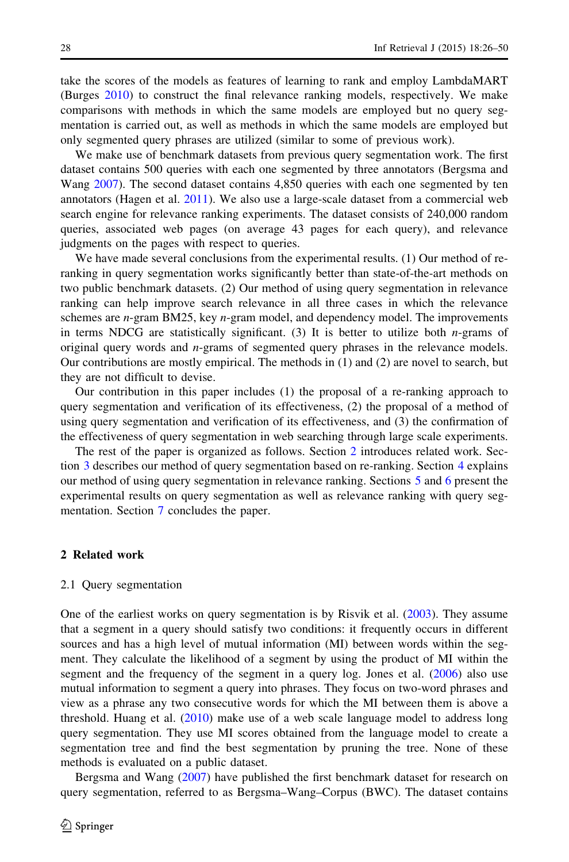<span id="page-2-0"></span>take the scores of the models as features of learning to rank and employ LambdaMART (Burges [2010\)](#page-24-0) to construct the final relevance ranking models, respectively. We make comparisons with methods in which the same models are employed but no query segmentation is carried out, as well as methods in which the same models are employed but only segmented query phrases are utilized (similar to some of previous work).

We make use of benchmark datasets from previous query segmentation work. The first dataset contains 500 queries with each one segmented by three annotators (Bergsma and Wang [2007\)](#page-24-0). The second dataset contains 4,850 queries with each one segmented by ten annotators (Hagen et al.  $2011$ ). We also use a large-scale dataset from a commercial web search engine for relevance ranking experiments. The dataset consists of 240,000 random queries, associated web pages (on average 43 pages for each query), and relevance judgments on the pages with respect to queries.

We have made several conclusions from the experimental results. (1) Our method of reranking in query segmentation works significantly better than state-of-the-art methods on two public benchmark datasets. (2) Our method of using query segmentation in relevance ranking can help improve search relevance in all three cases in which the relevance schemes are  $n$ -gram BM25, key  $n$ -gram model, and dependency model. The improvements in terms NDCG are statistically significant. (3) It is better to utilize both  $n$ -grams of original query words and n-grams of segmented query phrases in the relevance models. Our contributions are mostly empirical. The methods in  $(1)$  and  $(2)$  are novel to search, but they are not difficult to devise.

Our contribution in this paper includes (1) the proposal of a re-ranking approach to query segmentation and verification of its effectiveness, (2) the proposal of a method of using query segmentation and verification of its effectiveness, and (3) the confirmation of the effectiveness of query segmentation in web searching through large scale experiments.

The rest of the paper is organized as follows. Section 2 introduces related work. Section [3](#page-5-0) describes our method of query segmentation based on re-ranking. Section [4](#page-7-0) explains our method of using query segmentation in relevance ranking. Sections [5](#page-10-0) and [6](#page-12-0) present the experimental results on query segmentation as well as relevance ranking with query segmentation. Section [7](#page-22-0) concludes the paper.

### 2 Related work

#### 2.1 Query segmentation

One of the earliest works on query segmentation is by Risvik et al. ([2003](#page-24-0)). They assume that a segment in a query should satisfy two conditions: it frequently occurs in different sources and has a high level of mutual information (MI) between words within the segment. They calculate the likelihood of a segment by using the product of MI within the segment and the frequency of the segment in a query log. Jones et al. ([2006\)](#page-24-0) also use mutual information to segment a query into phrases. They focus on two-word phrases and view as a phrase any two consecutive words for which the MI between them is above a threshold. Huang et al. ([2010](#page-24-0)) make use of a web scale language model to address long query segmentation. They use MI scores obtained from the language model to create a segmentation tree and find the best segmentation by pruning the tree. None of these methods is evaluated on a public dataset.

Bergsma and Wang ([2007\)](#page-24-0) have published the first benchmark dataset for research on query segmentation, referred to as Bergsma–Wang–Corpus (BWC). The dataset contains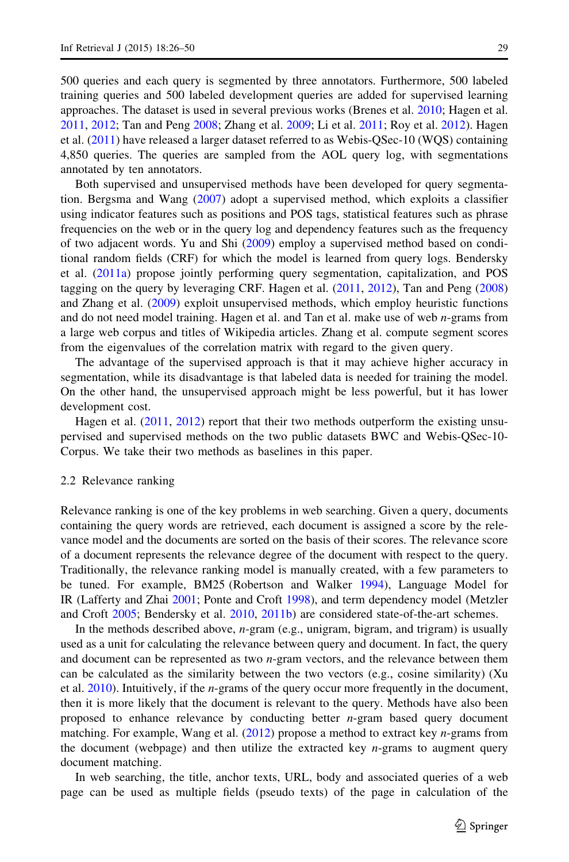500 queries and each query is segmented by three annotators. Furthermore, 500 labeled training queries and 500 labeled development queries are added for supervised learning approaches. The dataset is used in several previous works (Brenes et al. [2010](#page-24-0); Hagen et al. [2011,](#page-24-0) [2012](#page-24-0); Tan and Peng [2008](#page-24-0); Zhang et al. [2009](#page-24-0); Li et al. [2011](#page-24-0); Roy et al. [2012\)](#page-24-0). Hagen et al. ([2011\)](#page-24-0) have released a larger dataset referred to as Webis-QSec-10 (WQS) containing 4,850 queries. The queries are sampled from the AOL query log, with segmentations annotated by ten annotators.

Both supervised and unsupervised methods have been developed for query segmentation. Bergsma and Wang [\(2007](#page-24-0)) adopt a supervised method, which exploits a classifier using indicator features such as positions and POS tags, statistical features such as phrase frequencies on the web or in the query log and dependency features such as the frequency of two adjacent words. Yu and Shi [\(2009](#page-24-0)) employ a supervised method based on conditional random fields (CRF) for which the model is learned from query logs. Bendersky et al. ([2011a\)](#page-24-0) propose jointly performing query segmentation, capitalization, and POS tagging on the query by leveraging CRF. Hagen et al. [\(2011,](#page-24-0) [2012](#page-24-0)), Tan and Peng ([2008](#page-24-0)) and Zhang et al. [\(2009](#page-24-0)) exploit unsupervised methods, which employ heuristic functions and do not need model training. Hagen et al. and  $Tan$  et al. make use of web  $n$ -grams from a large web corpus and titles of Wikipedia articles. Zhang et al. compute segment scores from the eigenvalues of the correlation matrix with regard to the given query.

The advantage of the supervised approach is that it may achieve higher accuracy in segmentation, while its disadvantage is that labeled data is needed for training the model. On the other hand, the unsupervised approach might be less powerful, but it has lower development cost.

Hagen et al. ([2011,](#page-24-0) [2012](#page-24-0)) report that their two methods outperform the existing unsupervised and supervised methods on the two public datasets BWC and Webis-QSec-10- Corpus. We take their two methods as baselines in this paper.

#### 2.2 Relevance ranking

Relevance ranking is one of the key problems in web searching. Given a query, documents containing the query words are retrieved, each document is assigned a score by the relevance model and the documents are sorted on the basis of their scores. The relevance score of a document represents the relevance degree of the document with respect to the query. Traditionally, the relevance ranking model is manually created, with a few parameters to be tuned. For example, BM25 (Robertson and Walker [1994\)](#page-24-0), Language Model for IR (Lafferty and Zhai [2001](#page-24-0); Ponte and Croft [1998\)](#page-24-0), and term dependency model (Metzler and Croft [2005;](#page-24-0) Bendersky et al. [2010,](#page-23-0) [2011b\)](#page-24-0) are considered state-of-the-art schemes.

In the methods described above,  $n$ -gram (e.g., unigram, bigram, and trigram) is usually used as a unit for calculating the relevance between query and document. In fact, the query and document can be represented as two  $n$ -gram vectors, and the relevance between them can be calculated as the similarity between the two vectors (e.g., cosine similarity) (Xu et al. [2010\)](#page-24-0). Intuitively, if the n-grams of the query occur more frequently in the document, then it is more likely that the document is relevant to the query. Methods have also been proposed to enhance relevance by conducting better  $n$ -gram based query document matching. For example, Wang et al.  $(2012)$  $(2012)$  propose a method to extract key *n*-grams from the document (webpage) and then utilize the extracted key  $n$ -grams to augment query document matching.

In web searching, the title, anchor texts, URL, body and associated queries of a web page can be used as multiple fields (pseudo texts) of the page in calculation of the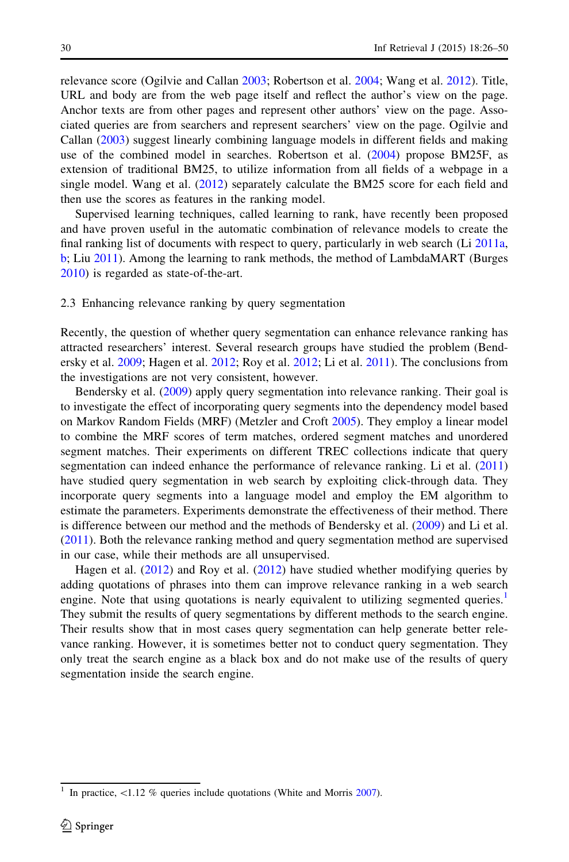relevance score (Ogilvie and Callan [2003;](#page-24-0) Robertson et al. [2004](#page-24-0); Wang et al. [2012](#page-24-0)). Title, URL and body are from the web page itself and reflect the author's view on the page. Anchor texts are from other pages and represent other authors' view on the page. Associated queries are from searchers and represent searchers' view on the page. Ogilvie and Callan ([2003\)](#page-24-0) suggest linearly combining language models in different fields and making use of the combined model in searches. Robertson et al. ([2004\)](#page-24-0) propose BM25F, as extension of traditional BM25, to utilize information from all fields of a webpage in a single model. Wang et al. ([2012\)](#page-24-0) separately calculate the BM25 score for each field and then use the scores as features in the ranking model.

Supervised learning techniques, called learning to rank, have recently been proposed and have proven useful in the automatic combination of relevance models to create the final ranking list of documents with respect to query, particularly in web search (Li [2011a](#page-24-0), [b](#page-24-0); Liu [2011\)](#page-24-0). Among the learning to rank methods, the method of LambdaMART (Burges [2010\)](#page-24-0) is regarded as state-of-the-art.

# 2.3 Enhancing relevance ranking by query segmentation

Recently, the question of whether query segmentation can enhance relevance ranking has attracted researchers' interest. Several research groups have studied the problem (Bendersky et al. [2009;](#page-23-0) Hagen et al. [2012](#page-24-0); Roy et al. [2012;](#page-24-0) Li et al. [2011\)](#page-24-0). The conclusions from the investigations are not very consistent, however.

Bendersky et al. [\(2009](#page-23-0)) apply query segmentation into relevance ranking. Their goal is to investigate the effect of incorporating query segments into the dependency model based on Markov Random Fields (MRF) (Metzler and Croft [2005](#page-24-0)). They employ a linear model to combine the MRF scores of term matches, ordered segment matches and unordered segment matches. Their experiments on different TREC collections indicate that query segmentation can indeed enhance the performance of relevance ranking. Li et al. ([2011](#page-24-0)) have studied query segmentation in web search by exploiting click-through data. They incorporate query segments into a language model and employ the EM algorithm to estimate the parameters. Experiments demonstrate the effectiveness of their method. There is difference between our method and the methods of Bendersky et al. ([2009](#page-23-0)) and Li et al. ([2011\)](#page-24-0). Both the relevance ranking method and query segmentation method are supervised in our case, while their methods are all unsupervised.

Hagen et al. ([2012\)](#page-24-0) and Roy et al. ([2012\)](#page-24-0) have studied whether modifying queries by adding quotations of phrases into them can improve relevance ranking in a web search engine. Note that using quotations is nearly equivalent to utilizing segmented queries.<sup>1</sup> They submit the results of query segmentations by different methods to the search engine. Their results show that in most cases query segmentation can help generate better relevance ranking. However, it is sometimes better not to conduct query segmentation. They only treat the search engine as a black box and do not make use of the results of query segmentation inside the search engine.

In practice,  $\langle 1.12 \, \%$  queries include quotations (White and Morris [2007\)](#page-24-0).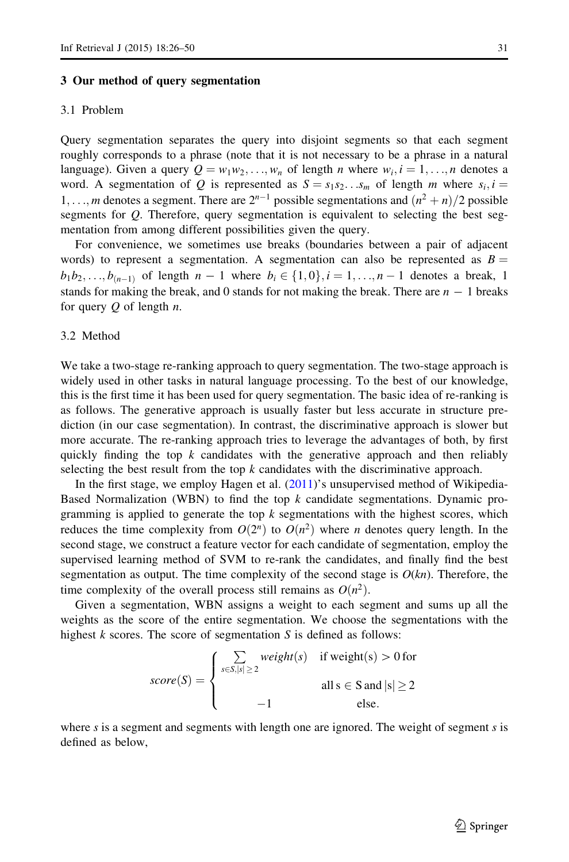### <span id="page-5-0"></span>3 Our method of query segmentation

# 3.1 Problem

Query segmentation separates the query into disjoint segments so that each segment roughly corresponds to a phrase (note that it is not necessary to be a phrase in a natural language). Given a query  $Q = w_1w_2, \ldots, w_n$  of length n where  $w_i$ ,  $i = 1, \ldots, n$  denotes a word. A segmentation of Q is represented as  $S = s_1 s_2 \dots s_m$  of length m where  $s_i$ ,  $i =$ 1, ...; m denotes a segment. There are  $2^{n-1}$  possible segmentations and  $(n^2 + n)/2$  possible segments for Q. Therefore, query segmentation is equivalent to selecting the best segmentation from among different possibilities given the query.

For convenience, we sometimes use breaks (boundaries between a pair of adjacent words) to represent a segmentation. A segmentation can also be represented as  $B =$  $b_1b_2,...,b_{(n-1)}$  of length  $n-1$  where  $b_i \in \{1,0\}, i = 1,..., n-1$  denotes a break, 1 stands for making the break, and 0 stands for not making the break. There are  $n - 1$  breaks for query  $Q$  of length  $n$ .

#### 3.2 Method

We take a two-stage re-ranking approach to query segmentation. The two-stage approach is widely used in other tasks in natural language processing. To the best of our knowledge, this is the first time it has been used for query segmentation. The basic idea of re-ranking is as follows. The generative approach is usually faster but less accurate in structure prediction (in our case segmentation). In contrast, the discriminative approach is slower but more accurate. The re-ranking approach tries to leverage the advantages of both, by first quickly finding the top k candidates with the generative approach and then reliably selecting the best result from the top  $k$  candidates with the discriminative approach.

In the first stage, we employ Hagen et al.  $(2011)'$  $(2011)'$ s unsupervised method of Wikipedia-Based Normalization (WBN) to find the top  $k$  candidate segmentations. Dynamic programming is applied to generate the top  $k$  segmentations with the highest scores, which reduces the time complexity from  $O(2^n)$  to  $O(n^2)$  where *n* denotes query length. In the second stage, we construct a feature vector for each candidate of segmentation, employ the supervised learning method of SVM to re-rank the candidates, and finally find the best segmentation as output. The time complexity of the second stage is  $O(kn)$ . Therefore, the time complexity of the overall process still remains as  $O(n^2)$ .

Given a segmentation, WBN assigns a weight to each segment and sums up all the weights as the score of the entire segmentation. We choose the segmentations with the highest  $k$  scores. The score of segmentation  $S$  is defined as follows:

$$
score(S) = \begin{cases} \sum_{s \in S, |s| \ge 2} weight(s) & \text{if weight}(s) > 0 \text{ for} \\ all s \in S \text{ and } |s| \ge 2 \\ -1 & \text{else.} \end{cases}
$$

where s is a segment and segments with length one are ignored. The weight of segment s is defined as below,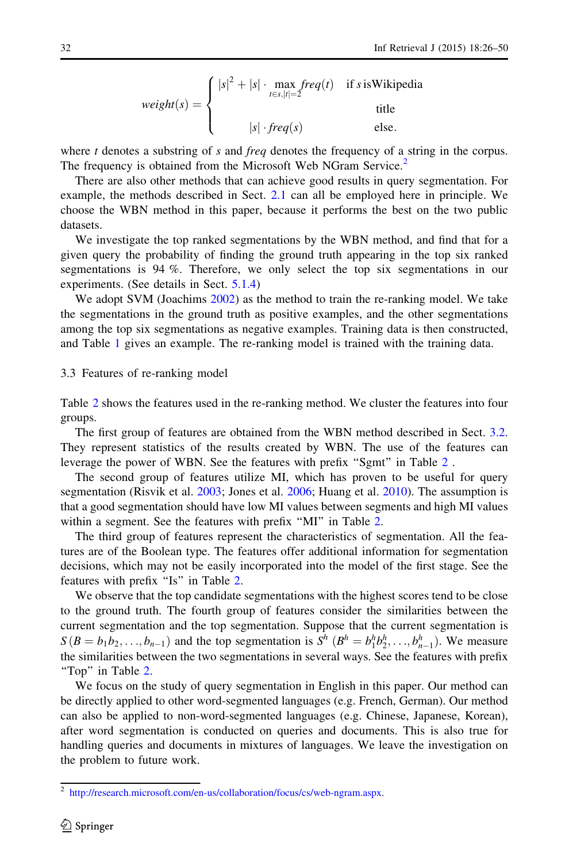$$
weight(s) = \begin{cases} |s|^2 + |s| \cdot \max_{t \in s, |t| = 2} freq(t) & \text{if } s \text{ isWikipedia} \\ & \text{title} \\ |s| \cdot freq(s) & \text{else.} \end{cases}
$$

where  $t$  denotes a substring of  $s$  and  $freq$  denotes the frequency of a string in the corpus. The frequency is obtained from the Microsoft Web NGram Service.<sup>2</sup>

There are also other methods that can achieve good results in query segmentation. For example, the methods described in Sect. [2.1](#page-2-0) can all be employed here in principle. We choose the WBN method in this paper, because it performs the best on the two public datasets.

We investigate the top ranked segmentations by the WBN method, and find that for a given query the probability of finding the ground truth appearing in the top six ranked segmentations is 94 %. Therefore, we only select the top six segmentations in our experiments. (See details in Sect. [5.1.4](#page-11-0))

We adopt SVM (Joachims [2002\)](#page-24-0) as the method to train the re-ranking model. We take the segmentations in the ground truth as positive examples, and the other segmentations among the top six segmentations as negative examples. Training data is then constructed, and Table [1](#page-7-0) gives an example. The re-ranking model is trained with the training data.

### 3.3 Features of re-ranking model

Table [2](#page-8-0) shows the features used in the re-ranking method. We cluster the features into four groups.

The first group of features are obtained from the WBN method described in Sect. [3.2](#page-5-0). They represent statistics of the results created by WBN. The use of the features can leverage the power of WBN. See the features with prefix ''Sgmt'' in Table [2](#page-8-0) .

The second group of features utilize MI, which has proven to be useful for query segmentation (Risvik et al. [2003](#page-24-0); Jones et al. [2006;](#page-24-0) Huang et al. [2010\)](#page-24-0). The assumption is that a good segmentation should have low MI values between segments and high MI values within a segment. See the features with prefix "MI" in Table [2](#page-8-0).

The third group of features represent the characteristics of segmentation. All the features are of the Boolean type. The features offer additional information for segmentation decisions, which may not be easily incorporated into the model of the first stage. See the features with prefix "Is" in Table [2.](#page-8-0)

We observe that the top candidate segmentations with the highest scores tend to be close to the ground truth. The fourth group of features consider the similarities between the current segmentation and the top segmentation. Suppose that the current segmentation is  $S(B=b_1b_2,...,b_{n-1})$  and the top segmentation is  $S^h(B^h=b_1^hb_2^h,...,b_{n-1}^h)$ . We measure the similarities between the two segmentations in several ways. See the features with prefix "Top" in Table [2.](#page-8-0)

We focus on the study of query segmentation in English in this paper. Our method can be directly applied to other word-segmented languages (e.g. French, German). Our method can also be applied to non-word-segmented languages (e.g. Chinese, Japanese, Korean), after word segmentation is conducted on queries and documents. This is also true for handling queries and documents in mixtures of languages. We leave the investigation on the problem to future work.

<sup>2</sup> [http://research.microsoft.com/en-us/collaboration/focus/cs/web-ngram.aspx.](http://research.microsoft.com/en-us/collaboration/focus/cs/web-ngram.aspx)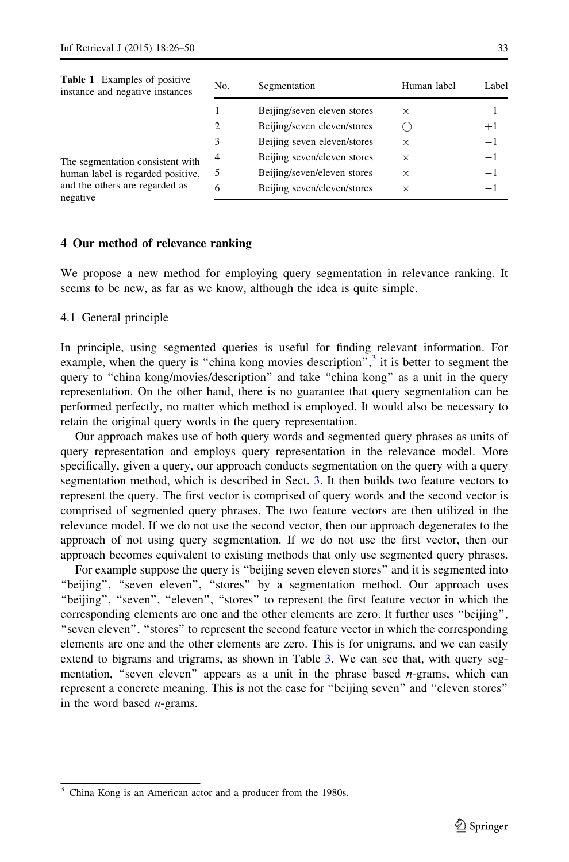<span id="page-7-0"></span>

| <b>Table 1</b> Examples of positive<br>instance and negative instances | No.            | Segmentation                | Human label | Label |
|------------------------------------------------------------------------|----------------|-----------------------------|-------------|-------|
|                                                                        |                | Beijing/seven eleven stores | $\times$    | -1    |
|                                                                        | 2              | Beijing/seven eleven/stores |             | $+1$  |
|                                                                        | 3              | Beijing seven eleven/stores | $\times$    | $-1$  |
| The segmentation consistent with<br>human label is regarded positive,  | $\overline{4}$ | Beijing seven/eleven stores | $\times$    | $-1$  |
|                                                                        | 5              | Beijing/seven/eleven stores | $\times$    | $-1$  |
| and the others are regarded as<br>negative                             | 6              | Beijing seven/eleven/stores | $\times$    | -1    |

# 4 Our method of relevance ranking

We propose a new method for employing query segmentation in relevance ranking. It seems to be new, as far as we know, although the idea is quite simple.

### 4.1 General principle

In principle, using segmented queries is useful for finding relevant information. For example, when the query is "china kong movies description", $3$  it is better to segment the query to ''china kong/movies/description'' and take ''china kong'' as a unit in the query representation. On the other hand, there is no guarantee that query segmentation can be performed perfectly, no matter which method is employed. It would also be necessary to retain the original query words in the query representation.

Our approach makes use of both query words and segmented query phrases as units of query representation and employs query representation in the relevance model. More specifically, given a query, our approach conducts segmentation on the query with a query segmentation method, which is described in Sect. [3](#page-5-0). It then builds two feature vectors to represent the query. The first vector is comprised of query words and the second vector is comprised of segmented query phrases. The two feature vectors are then utilized in the relevance model. If we do not use the second vector, then our approach degenerates to the approach of not using query segmentation. If we do not use the first vector, then our approach becomes equivalent to existing methods that only use segmented query phrases.

For example suppose the query is ''beijing seven eleven stores'' and it is segmented into "beijing", "seven eleven", "stores" by a segmentation method. Our approach uses "beijing", "seven", "eleven", "stores" to represent the first feature vector in which the corresponding elements are one and the other elements are zero. It further uses ''beijing'', ''seven eleven'', ''stores'' to represent the second feature vector in which the corresponding elements are one and the other elements are zero. This is for unigrams, and we can easily extend to bigrams and trigrams, as shown in Table [3.](#page-10-0) We can see that, with query segmentation, "seven eleven" appears as a unit in the phrase based  $n$ -grams, which can represent a concrete meaning. This is not the case for ''beijing seven'' and ''eleven stores'' in the word based  $n$ -grams.

<sup>&</sup>lt;sup>3</sup> China Kong is an American actor and a producer from the 1980s.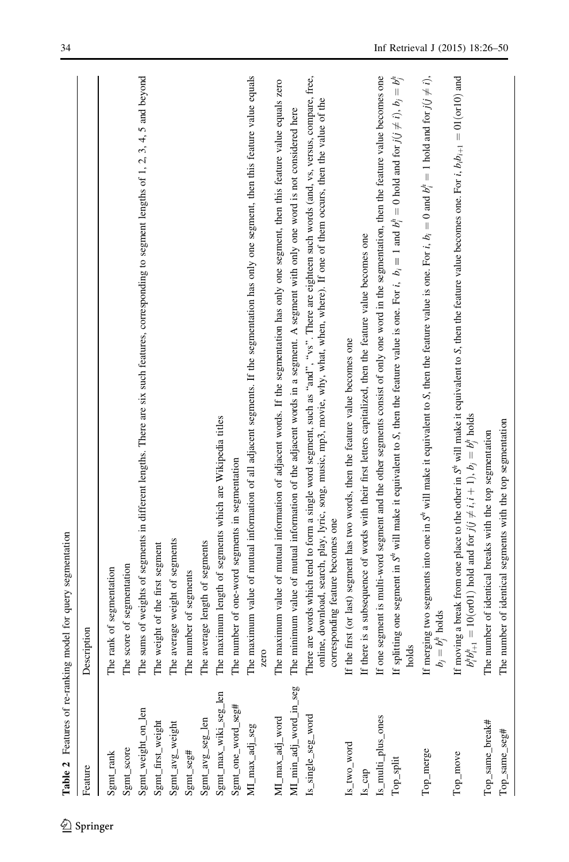<span id="page-8-0"></span>

|                         | Table 2 Features of re-ranking model for query segmentation                                                                                                                                                                                                                                                                    |
|-------------------------|--------------------------------------------------------------------------------------------------------------------------------------------------------------------------------------------------------------------------------------------------------------------------------------------------------------------------------|
| Feature                 | Description                                                                                                                                                                                                                                                                                                                    |
| Sgmt_score<br>Sgmt_rank | The score of segmentation<br>The rank of segmentation                                                                                                                                                                                                                                                                          |
| Sgmt_weight_on_len      | The sums of weights of segments in different lengths. There are six such features, corresponding to segment lengths of 1, 2, 3, 4, 5 and beyond                                                                                                                                                                                |
| Sgmt_first_weight       | eight of the first segment<br>The $w$                                                                                                                                                                                                                                                                                          |
| Sgmt_avg_weight         | The average weight of segments                                                                                                                                                                                                                                                                                                 |
| Sgmt_seg#               | The number of segments                                                                                                                                                                                                                                                                                                         |
| Sgmt_avg_seg_len        | The average length of segments                                                                                                                                                                                                                                                                                                 |
| Sgmt_max_wiki_seg_len   | The maximum length of segments which are Wikipedia titles                                                                                                                                                                                                                                                                      |
| Sgmt_one_word_seg#      | The number of one-word segments in segmentation                                                                                                                                                                                                                                                                                |
| MI_max_adj_seg          | The maximum value of mutual information of all adjacent segments. If the segmentation has only one segment, then this feature value equals<br>zero                                                                                                                                                                             |
| MI_max_adj_word         | The maximum value of mutual information of adjacent words. If the segmentation has only one segment, then this feature value equals zero                                                                                                                                                                                       |
| MI_min_adj_word_in_seg  | The minimum value of mutual information of the adjacent words in a segment. A segment with only one word is not considered here                                                                                                                                                                                                |
| Is_single_seg_word      | are words which tend to form a single word segment, such as "and", "vs". There are eighteen such words (and, vs, versus, compare, free,<br>online, download, search, play, lyric, song, music, mp3, movie, why, what, when, where). If one of them occurs, then the value of the<br>corresponding feature becomes one<br>There |
| $Is_{two_{word}}$       | first (or last) segment has two words, then the feature value becomes one<br>If the                                                                                                                                                                                                                                            |
| Is_cap                  | If there is a subsequence of words with their first letters capitalized, then the feature value becomes one                                                                                                                                                                                                                    |
| Is_multi_plus_ones      | segment is multi-word segment and the other segments consist of only one word in the segmentation, then the feature value becomes one<br>If one                                                                                                                                                                                |
| Top_split               | If splitting one segment in S <sup>o</sup> will make it equivalent to S, then the feature value is one. For <i>i</i> , $b_i = 1$ and $b_i^a = 0$ hold and for $j(j \neq i)$ , $b_j = b_j^b$<br>hold                                                                                                                            |
| Top_merge               | If merging two segments into one in S <sup>t</sup> will make it equivalent to S, then the feature value is one. For <i>i</i> , $b_1 = 0$ and $b_1^h = 1$ hold and for $j(j \neq i)$ ,<br>$b_j = b_j^h$ holds                                                                                                                   |
| Top_move                | If moving a break from one place to the other in $S^h$ will make it equivalent to S, then the feature value becomes one. For <i>i</i> , $b_1b_{i+1} = 01$ (or10) and<br>$b_i^{\dagger} b_{i+1}^{\dagger} = 10$ (or 01) hold and for $j(j \neq i, i + 1)$ , $b_j = b_j^{\dagger}$ holds                                         |
| Top_same_break#         | The number of identical breaks with the top segmentation                                                                                                                                                                                                                                                                       |
| Top_same_seg#           | The number of identical segments with the top segmentation                                                                                                                                                                                                                                                                     |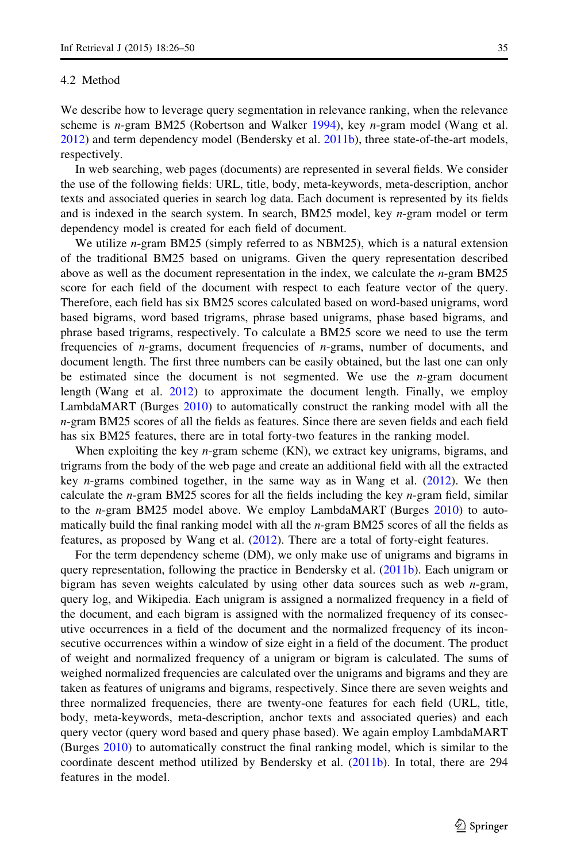#### 4.2 Method

We describe how to leverage query segmentation in relevance ranking, when the relevance scheme is  $n$ -gram BM25 (Robertson and Walker [1994\)](#page-24-0), key  $n$ -gram model (Wang et al. [2012\)](#page-24-0) and term dependency model (Bendersky et al. [2011b\)](#page-24-0), three state-of-the-art models, respectively.

In web searching, web pages (documents) are represented in several fields. We consider the use of the following fields: URL, title, body, meta-keywords, meta-description, anchor texts and associated queries in search log data. Each document is represented by its fields and is indexed in the search system. In search, BM25 model, key  $n$ -gram model or term dependency model is created for each field of document.

We utilize  $n$ -gram BM25 (simply referred to as NBM25), which is a natural extension of the traditional BM25 based on unigrams. Given the query representation described above as well as the document representation in the index, we calculate the  $n$ -gram BM25 score for each field of the document with respect to each feature vector of the query. Therefore, each field has six BM25 scores calculated based on word-based unigrams, word based bigrams, word based trigrams, phrase based unigrams, phase based bigrams, and phrase based trigrams, respectively. To calculate a BM25 score we need to use the term frequencies of  $n$ -grams, document frequencies of  $n$ -grams, number of documents, and document length. The first three numbers can be easily obtained, but the last one can only be estimated since the document is not segmented. We use the  $n$ -gram document length (Wang et al. [2012\)](#page-24-0) to approximate the document length. Finally, we employ LambdaMART (Burges [2010\)](#page-24-0) to automatically construct the ranking model with all the n-gram BM25 scores of all the fields as features. Since there are seven fields and each field has six BM25 features, there are in total forty-two features in the ranking model.

When exploiting the key *n*-gram scheme (KN), we extract key unigrams, bigrams, and trigrams from the body of the web page and create an additional field with all the extracted key *n*-grams combined together, in the same way as in Wang et al.  $(2012)$  $(2012)$ . We then calculate the  $n$ -gram BM25 scores for all the fields including the key  $n$ -gram field, similar to the n-gram BM25 model above. We employ LambdaMART (Burges [2010\)](#page-24-0) to automatically build the final ranking model with all the  $n$ -gram BM25 scores of all the fields as features, as proposed by Wang et al. [\(2012](#page-24-0)). There are a total of forty-eight features.

For the term dependency scheme (DM), we only make use of unigrams and bigrams in query representation, following the practice in Bendersky et al. [\(2011b\)](#page-24-0). Each unigram or bigram has seven weights calculated by using other data sources such as web  $n$ -gram, query log, and Wikipedia. Each unigram is assigned a normalized frequency in a field of the document, and each bigram is assigned with the normalized frequency of its consecutive occurrences in a field of the document and the normalized frequency of its inconsecutive occurrences within a window of size eight in a field of the document. The product of weight and normalized frequency of a unigram or bigram is calculated. The sums of weighed normalized frequencies are calculated over the unigrams and bigrams and they are taken as features of unigrams and bigrams, respectively. Since there are seven weights and three normalized frequencies, there are twenty-one features for each field (URL, title, body, meta-keywords, meta-description, anchor texts and associated queries) and each query vector (query word based and query phase based). We again employ LambdaMART (Burges [2010\)](#page-24-0) to automatically construct the final ranking model, which is similar to the coordinate descent method utilized by Bendersky et al. [\(2011b\)](#page-24-0). In total, there are 294 features in the model.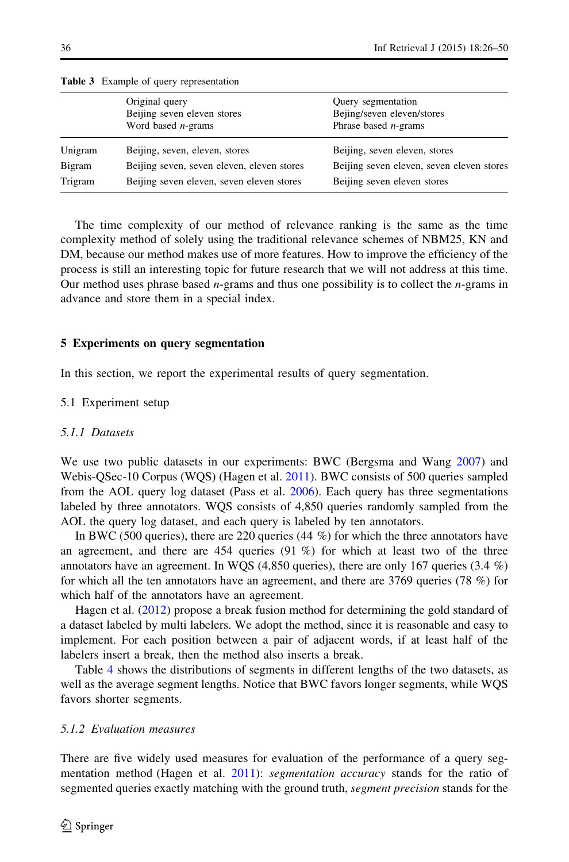|                              | Original query<br>Beijing seven eleven stores<br>Word based $n$ -grams                                                    | Query segmentation<br>Bejing/seven eleven/stores<br>Phrase based $n$ -grams                               |
|------------------------------|---------------------------------------------------------------------------------------------------------------------------|-----------------------------------------------------------------------------------------------------------|
| Unigram<br>Bigram<br>Trigram | Beijing, seven, eleven, stores<br>Beijing seven, seven eleven, eleven stores<br>Beijing seven eleven, seven eleven stores | Beijing, seven eleven, stores<br>Beijing seven eleven, seven eleven stores<br>Beijing seven eleven stores |
|                              |                                                                                                                           |                                                                                                           |

#### <span id="page-10-0"></span>Table 3 Example of query representation

The time complexity of our method of relevance ranking is the same as the time complexity method of solely using the traditional relevance schemes of NBM25, KN and DM, because our method makes use of more features. How to improve the efficiency of the process is still an interesting topic for future research that we will not address at this time. Our method uses phrase based *n*-grams and thus one possibility is to collect the *n*-grams in advance and store them in a special index.

# 5 Experiments on query segmentation

In this section, we report the experimental results of query segmentation.

### 5.1 Experiment setup

# 5.1.1 Datasets

We use two public datasets in our experiments: BWC (Bergsma and Wang [2007\)](#page-24-0) and Webis-QSec-10 Corpus (WQS) (Hagen et al. [2011\)](#page-24-0). BWC consists of 500 queries sampled from the AOL query log dataset (Pass et al. [2006\)](#page-24-0). Each query has three segmentations labeled by three annotators. WQS consists of 4,850 queries randomly sampled from the AOL the query log dataset, and each query is labeled by ten annotators.

In BWC (500 queries), there are 220 queries (44 %) for which the three annotators have an agreement, and there are 454 queries (91 %) for which at least two of the three annotators have an agreement. In WQS  $(4,850$  queries), there are only 167 queries  $(3.4\%)$ for which all the ten annotators have an agreement, and there are 3769 queries (78 %) for which half of the annotators have an agreement.

Hagen et al. ([2012\)](#page-24-0) propose a break fusion method for determining the gold standard of a dataset labeled by multi labelers. We adopt the method, since it is reasonable and easy to implement. For each position between a pair of adjacent words, if at least half of the labelers insert a break, then the method also inserts a break.

Table [4](#page-12-0) shows the distributions of segments in different lengths of the two datasets, as well as the average segment lengths. Notice that BWC favors longer segments, while WQS favors shorter segments.

# 5.1.2 Evaluation measures

There are five widely used measures for evaluation of the performance of a query seg-mentation method (Hagen et al. [2011\)](#page-24-0): *segmentation accuracy* stands for the ratio of segmented queries exactly matching with the ground truth, *segment precision* stands for the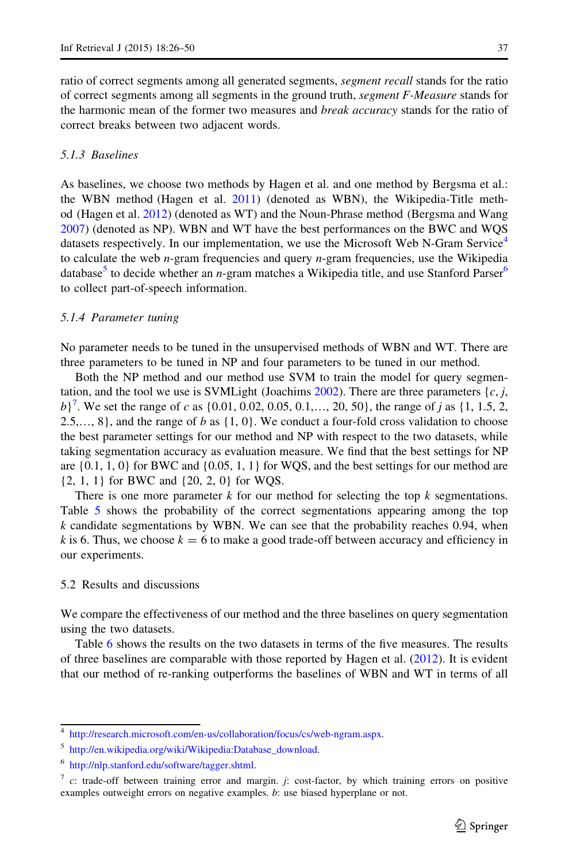<span id="page-11-0"></span>ratio of correct segments among all generated segments, *segment recall* stands for the ratio of correct segments among all segments in the ground truth, *segment F-Measure* stands for the harmonic mean of the former two measures and *break accuracy* stands for the ratio of correct breaks between two adjacent words.

# 5.1.3 Baselines

As baselines, we choose two methods by Hagen et al. and one method by Bergsma et al.: the WBN method (Hagen et al. [2011](#page-24-0)) (denoted as WBN), the Wikipedia-Title method (Hagen et al. [2012](#page-24-0)) (denoted as WT) and the Noun-Phrase method (Bergsma and Wang [2007\)](#page-24-0) (denoted as NP). WBN and WT have the best performances on the BWC and WQS datasets respectively. In our implementation, we use the Microsoft Web N-Gram Service<sup>4</sup> to calculate the web *n*-gram frequencies and query *n*-gram frequencies, use the Wikipedia database<sup>5</sup> to decide whether an *n*-gram matches a Wikipedia title, and use Stanford Parser<sup>6</sup> to collect part-of-speech information.

### 5.1.4 Parameter tuning

No parameter needs to be tuned in the unsupervised methods of WBN and WT. There are three parameters to be tuned in NP and four parameters to be tuned in our method.

Both the NP method and our method use SVM to train the model for query segmen-tation, and the tool we use is SVMLight (Joachims [2002\)](#page-24-0). There are three parameters  $\{c, j, j\}$  $b$ <sup>7</sup>. We set the range of c as {0.01, 0.02, 0.05, 0.1,..., 20, 50}, the range of j as {1, 1.5, 2, 2.5,..., 8}, and the range of b as  $\{1, 0\}$ . We conduct a four-fold cross validation to choose the best parameter settings for our method and NP with respect to the two datasets, while taking segmentation accuracy as evaluation measure. We find that the best settings for NP are  $\{0.1, 1, 0\}$  for BWC and  $\{0.05, 1, 1\}$  for WQS, and the best settings for our method are {2, 1, 1} for BWC and {20, 2, 0} for WQS.

There is one more parameter  $k$  for our method for selecting the top  $k$  segmentations. Table [5](#page-13-0) shows the probability of the correct segmentations appearing among the top k candidate segmentations by WBN. We can see that the probability reaches 0.94, when k is 6. Thus, we choose  $k = 6$  to make a good trade-off between accuracy and efficiency in our experiments.

# 5.2 Results and discussions

We compare the effectiveness of our method and the three baselines on query segmentation using the two datasets.

Table [6](#page-14-0) shows the results on the two datasets in terms of the five measures. The results of three baselines are comparable with those reported by Hagen et al. ([2012\)](#page-24-0). It is evident that our method of re-ranking outperforms the baselines of WBN and WT in terms of all

[http://research.microsoft.com/en-us/collaboration/focus/cs/web-ngram.aspx.](http://research.microsoft.com/en-us/collaboration/focus/cs/web-ngram.aspx)

<sup>5</sup> [http://en.wikipedia.org/wiki/Wikipedia:Database\\_download](http://en.wikipedia.org/wiki/Wikipedia:Database_download).

<sup>6</sup> <http://nlp.stanford.edu/software/tagger.shtml>.

 $\frac{7}{1}$  c: trade-off between training error and margin. j: cost-factor, by which training errors on positive examples outweight errors on negative examples. b: use biased hyperplane or not.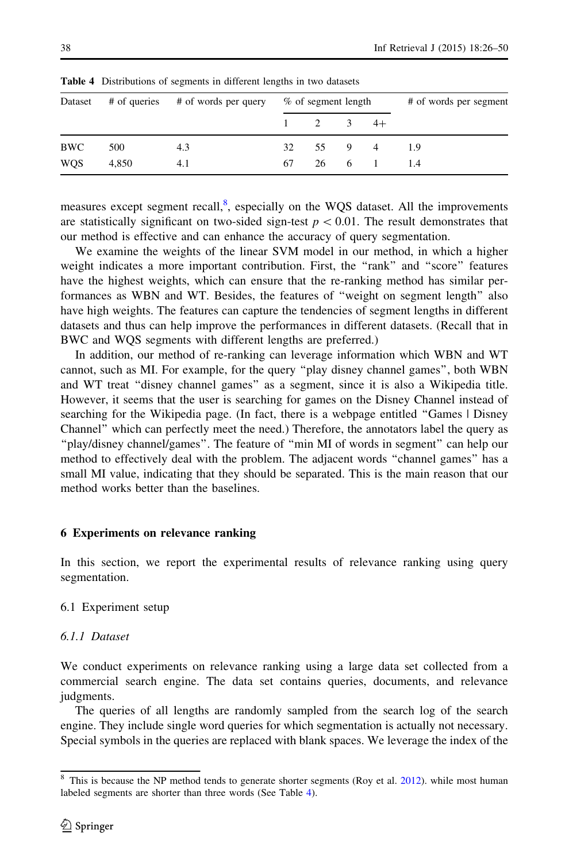<span id="page-12-0"></span>

| Dataset    |       | # of queries # of words per query | % of segment length |                  |        |            | # of words per segment |  |
|------------|-------|-----------------------------------|---------------------|------------------|--------|------------|------------------------|--|
|            |       |                                   |                     | $1 \t2 \t3 \t4+$ |        |            |                        |  |
| BWC        | 500   | 4.3                               | 32                  |                  | 55 9 4 |            | - 1.9                  |  |
| <b>WOS</b> | 4,850 | 4.1                               | 67                  |                  |        | 26 6 1 1.4 |                        |  |

Table 4 Distributions of segments in different lengths in two datasets

measures except segment recall,<sup>8</sup>, especially on the WQS dataset. All the improvements are statistically significant on two-sided sign-test  $p<0.01$ . The result demonstrates that our method is effective and can enhance the accuracy of query segmentation.

We examine the weights of the linear SVM model in our method, in which a higher weight indicates a more important contribution. First, the ''rank'' and ''score'' features have the highest weights, which can ensure that the re-ranking method has similar performances as WBN and WT. Besides, the features of ''weight on segment length'' also have high weights. The features can capture the tendencies of segment lengths in different datasets and thus can help improve the performances in different datasets. (Recall that in BWC and WQS segments with different lengths are preferred.)

In addition, our method of re-ranking can leverage information which WBN and WT cannot, such as MI. For example, for the query ''play disney channel games'', both WBN and WT treat ''disney channel games'' as a segment, since it is also a Wikipedia title. However, it seems that the user is searching for games on the Disney Channel instead of searching for the Wikipedia page. (In fact, there is a webpage entitled ''Games | Disney Channel'' which can perfectly meet the need.) Therefore, the annotators label the query as ''play/disney channel/games''. The feature of ''min MI of words in segment'' can help our method to effectively deal with the problem. The adjacent words ''channel games'' has a small MI value, indicating that they should be separated. This is the main reason that our method works better than the baselines.

# 6 Experiments on relevance ranking

In this section, we report the experimental results of relevance ranking using query segmentation.

# 6.1 Experiment setup

# 6.1.1 Dataset

We conduct experiments on relevance ranking using a large data set collected from a commercial search engine. The data set contains queries, documents, and relevance judgments.

The queries of all lengths are randomly sampled from the search log of the search engine. They include single word queries for which segmentation is actually not necessary. Special symbols in the queries are replaced with blank spaces. We leverage the index of the

<sup>&</sup>lt;sup>8</sup> This is because the NP method tends to generate shorter segments (Roy et al. [2012](#page-24-0)). while most human labeled segments are shorter than three words (See Table 4).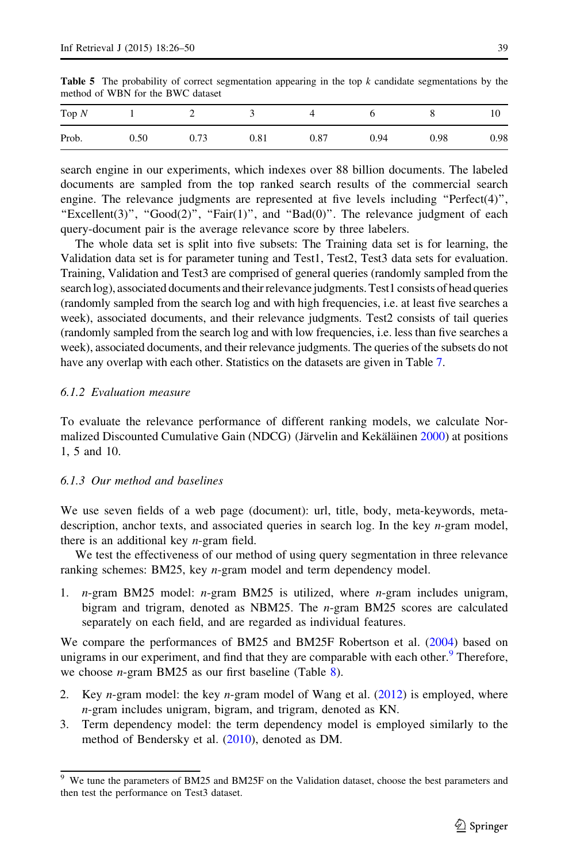| Top $N$ |      | ∸    | $\sim$ 3 | 4    | O    |      | 10   |
|---------|------|------|----------|------|------|------|------|
| Prob.   | 0.50 | 0.73 | 0.81     | 0.87 | 0.94 | 0.98 | 0.98 |

<span id="page-13-0"></span>**Table 5** The probability of correct segmentation appearing in the top  $k$  candidate segmentations by the method of WBN for the BWC dataset

search engine in our experiments, which indexes over 88 billion documents. The labeled documents are sampled from the top ranked search results of the commercial search engine. The relevance judgments are represented at five levels including ''Perfect(4)'', "Excellent(3)", " $Good(2)$ ", " $Fair(1)$ ", and " $Bad(0)$ ". The relevance judgment of each query-document pair is the average relevance score by three labelers.

The whole data set is split into five subsets: The Training data set is for learning, the Validation data set is for parameter tuning and Test1, Test2, Test3 data sets for evaluation. Training, Validation and Test3 are comprised of general queries (randomly sampled from the search log), associated documents and their relevance judgments. Test1 consists of head queries (randomly sampled from the search log and with high frequencies, i.e. at least five searches a week), associated documents, and their relevance judgments. Test2 consists of tail queries (randomly sampled from the search log and with low frequencies, i.e. less than five searches a week), associated documents, and their relevance judgments. The queries of the subsets do not have any overlap with each other. Statistics on the datasets are given in Table [7.](#page-15-0)

# 6.1.2 Evaluation measure

To evaluate the relevance performance of different ranking models, we calculate Nor-malized Discounted Cumulative Gain (NDCG) (Järvelin and Kekäläinen [2000\)](#page-24-0) at positions 1, 5 and 10.

## 6.1.3 Our method and baselines

We use seven fields of a web page (document): url, title, body, meta-keywords, metadescription, anchor texts, and associated queries in search log. In the key n-gram model, there is an additional key  $n$ -gram field.

We test the effectiveness of our method of using query segmentation in three relevance ranking schemes: BM25, key *n*-gram model and term dependency model.

1. n-gram BM25 model: n-gram BM25 is utilized, where n-gram includes unigram, bigram and trigram, denoted as NBM25. The  $n$ -gram BM25 scores are calculated separately on each field, and are regarded as individual features.

We compare the performances of BM25 and BM25F Robertson et al. ([2004\)](#page-24-0) based on unigrams in our experiment, and find that they are comparable with each other.<sup>9</sup> Therefore, we choose *n*-gram BM25 as our first baseline (Table [8\)](#page-17-0).

- 2. Key *n*-gram model: the key *n*-gram model of Wang et al.  $(2012)$  $(2012)$  is employed, where n-gram includes unigram, bigram, and trigram, denoted as KN.
- 3. Term dependency model: the term dependency model is employed similarly to the method of Bendersky et al. [\(2010](#page-23-0)), denoted as DM.

<sup>&</sup>lt;sup>9</sup> We tune the parameters of BM25 and BM25F on the Validation dataset, choose the best parameters and then test the performance on Test3 dataset.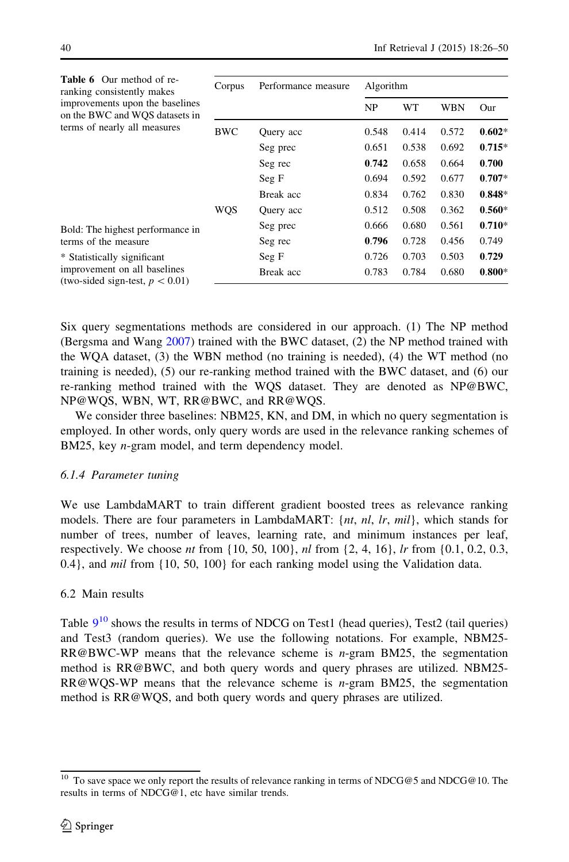<span id="page-14-0"></span>

| Table 6 Our method of re-<br>ranking consistently makes                                           | Corpus     | Performance measure | Algorithm |       |       |          |
|---------------------------------------------------------------------------------------------------|------------|---------------------|-----------|-------|-------|----------|
| improvements upon the baselines<br>on the BWC and WOS datasets in<br>terms of nearly all measures |            |                     | NP        | WT    | WBN   | Our      |
|                                                                                                   | <b>BWC</b> | Ouery acc           | 0.548     | 0.414 | 0.572 | $0.602*$ |
|                                                                                                   |            | Seg prec            | 0.651     | 0.538 | 0.692 | $0.715*$ |
| Bold: The highest performance in<br>terms of the measure<br>* Statistically significant           |            | Seg rec             | 0.742     | 0.658 | 0.664 | 0.700    |
|                                                                                                   |            | Seg F               | 0.694     | 0.592 | 0.677 | $0.707*$ |
|                                                                                                   |            | Break acc           | 0.834     | 0.762 | 0.830 | $0.848*$ |
|                                                                                                   | WQS        | Ouery acc           | 0.512     | 0.508 | 0.362 | $0.560*$ |
|                                                                                                   |            | Seg prec            | 0.666     | 0.680 | 0.561 | $0.710*$ |
|                                                                                                   |            | Seg rec             | 0.796     | 0.728 | 0.456 | 0.749    |
|                                                                                                   |            | Seg F               | 0.726     | 0.703 | 0.503 | 0.729    |
| improvement on all baselines<br>(two-sided sign-test, $p < 0.01$ )                                |            | Break acc           | 0.783     | 0.784 | 0.680 | $0.800*$ |

Six query segmentations methods are considered in our approach. (1) The NP method (Bergsma and Wang [2007](#page-24-0)) trained with the BWC dataset, (2) the NP method trained with the WQA dataset, (3) the WBN method (no training is needed), (4) the WT method (no training is needed), (5) our re-ranking method trained with the BWC dataset, and (6) our re-ranking method trained with the WQS dataset. They are denoted as NP@BWC, NP@WQS, WBN, WT, RR@BWC, and RR@WQS.

We consider three baselines: NBM25, KN, and DM, in which no query segmentation is employed. In other words, only query words are used in the relevance ranking schemes of BM25, key *n*-gram model, and term dependency model.

### 6.1.4 Parameter tuning

We use LambdaMART to train different gradient boosted trees as relevance ranking models. There are four parameters in LambdaMART:  $\{nt, nl, lr, mil\}$ , which stands for number of trees, number of leaves, learning rate, and minimum instances per leaf, respectively. We choose *nt* from  $\{10, 50, 100\}$ , *nl* from  $\{2, 4, 16\}$ , *lr* from  $\{0.1, 0.2, 0.3$ , 0.4}, and mil from {10, 50, 100} for each ranking model using the Validation data.

# 6.2 Main results

Table  $9^{10}$  $9^{10}$  shows the results in terms of NDCG on Test1 (head queries), Test2 (tail queries) and Test3 (random queries). We use the following notations. For example, NBM25- RR@BWC-WP means that the relevance scheme is n-gram BM25, the segmentation method is RR@BWC, and both query words and query phrases are utilized. NBM25-  $RR@WOS-WP$  means that the relevance scheme is *n*-gram BM25, the segmentation method is RR@WQS, and both query words and query phrases are utilized.

<sup>&</sup>lt;sup>10</sup> To save space we only report the results of relevance ranking in terms of NDCG@5 and NDCG@10. The results in terms of NDCG@1, etc have similar trends.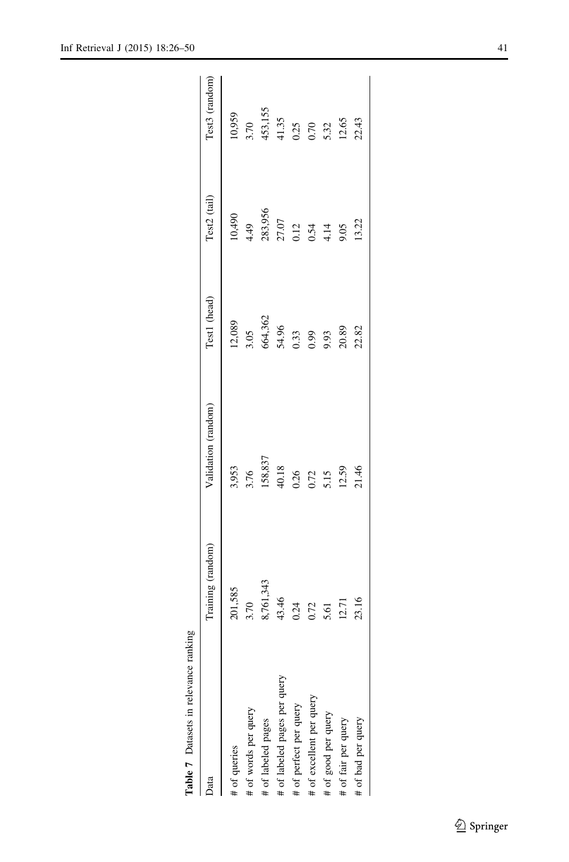<span id="page-15-0"></span>

| Table 7 Datasets in relevance ranking |                  |                                                                   |                              |                                          |                                                          |
|---------------------------------------|------------------|-------------------------------------------------------------------|------------------------------|------------------------------------------|----------------------------------------------------------|
| Data                                  | raining (random) | Validation (random)                                               | Test1 (head)                 | Test2 (tail)                             | Test3 (random)                                           |
| # of queries                          | 201,585          |                                                                   | 12,089                       | 10,490                                   | 10,959                                                   |
| # of words per query                  | 3.70             |                                                                   | 3.05                         | 4.49                                     |                                                          |
| # of labeled pages                    | 8,761,343        | 3,953<br>3.76<br>158,837<br>40.18<br>0.26<br>0.72<br>5.15<br>5.15 | $664,362$<br>$54.96$<br>0.33 |                                          | 3.70<br>453,155<br>41.35<br>0.25<br>0.70<br>5.32<br>5.32 |
| # of labeled pages per query          | 43.46            |                                                                   |                              |                                          |                                                          |
| # of perfect per query                | 0.24             |                                                                   |                              |                                          |                                                          |
| # of excellent per query              | 0.72             |                                                                   |                              |                                          |                                                          |
| # of good per query                   | 5.61             |                                                                   | 0.99<br>9.93                 | 283,956<br>27.07<br>0.12<br>0.54<br>4.14 |                                                          |
| # of fair per query                   | 12.71            |                                                                   | 20.89                        | 9.05                                     |                                                          |
| # of bad per query                    | 23.16            | 21.46                                                             | 22.82                        | 13.22                                    | 22.43                                                    |
|                                       |                  |                                                                   |                              |                                          |                                                          |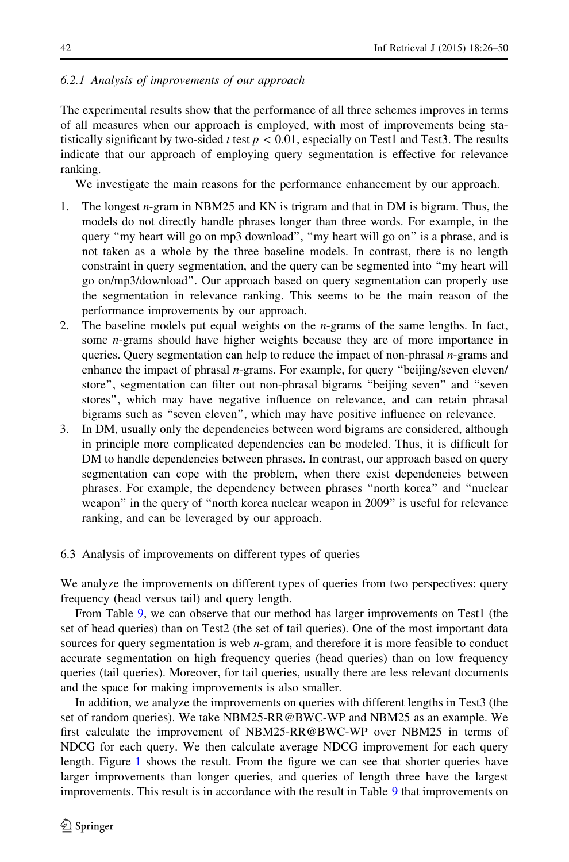# 6.2.1 Analysis of improvements of our approach

The experimental results show that the performance of all three schemes improves in terms of all measures when our approach is employed, with most of improvements being statistically significant by two-sided t test  $p<0.01$ , especially on Test1 and Test3. The results indicate that our approach of employing query segmentation is effective for relevance ranking.

We investigate the main reasons for the performance enhancement by our approach.

- 1. The longest n-gram in NBM25 and KN is trigram and that in DM is bigram. Thus, the models do not directly handle phrases longer than three words. For example, in the query "my heart will go on mp3 download", "my heart will go on" is a phrase, and is not taken as a whole by the three baseline models. In contrast, there is no length constraint in query segmentation, and the query can be segmented into ''my heart will go on/mp3/download''. Our approach based on query segmentation can properly use the segmentation in relevance ranking. This seems to be the main reason of the performance improvements by our approach.
- 2. The baseline models put equal weights on the  $n$ -grams of the same lengths. In fact, some n-grams should have higher weights because they are of more importance in queries. Query segmentation can help to reduce the impact of non-phrasal n-grams and enhance the impact of phrasal *n*-grams. For example, for query "beijing/seven eleven/ store'', segmentation can filter out non-phrasal bigrams ''beijing seven'' and ''seven stores'', which may have negative influence on relevance, and can retain phrasal bigrams such as ''seven eleven'', which may have positive influence on relevance.
- 3. In DM, usually only the dependencies between word bigrams are considered, although in principle more complicated dependencies can be modeled. Thus, it is difficult for DM to handle dependencies between phrases. In contrast, our approach based on query segmentation can cope with the problem, when there exist dependencies between phrases. For example, the dependency between phrases ''north korea'' and ''nuclear weapon" in the query of "north korea nuclear weapon in 2009" is useful for relevance ranking, and can be leveraged by our approach.
- 6.3 Analysis of improvements on different types of queries

We analyze the improvements on different types of queries from two perspectives: query frequency (head versus tail) and query length.

From Table [9](#page-17-0), we can observe that our method has larger improvements on Test1 (the set of head queries) than on Test2 (the set of tail queries). One of the most important data sources for query segmentation is web  $n$ -gram, and therefore it is more feasible to conduct accurate segmentation on high frequency queries (head queries) than on low frequency queries (tail queries). Moreover, for tail queries, usually there are less relevant documents and the space for making improvements is also smaller.

In addition, we analyze the improvements on queries with different lengths in Test3 (the set of random queries). We take NBM25-RR@BWC-WP and NBM25 as an example. We first calculate the improvement of NBM25-RR@BWC-WP over NBM25 in terms of NDCG for each query. We then calculate average NDCG improvement for each query length. Figure [1](#page-19-0) shows the result. From the figure we can see that shorter queries have larger improvements than longer queries, and queries of length three have the largest improvements. This result is in accordance with the result in Table [9](#page-17-0) that improvements on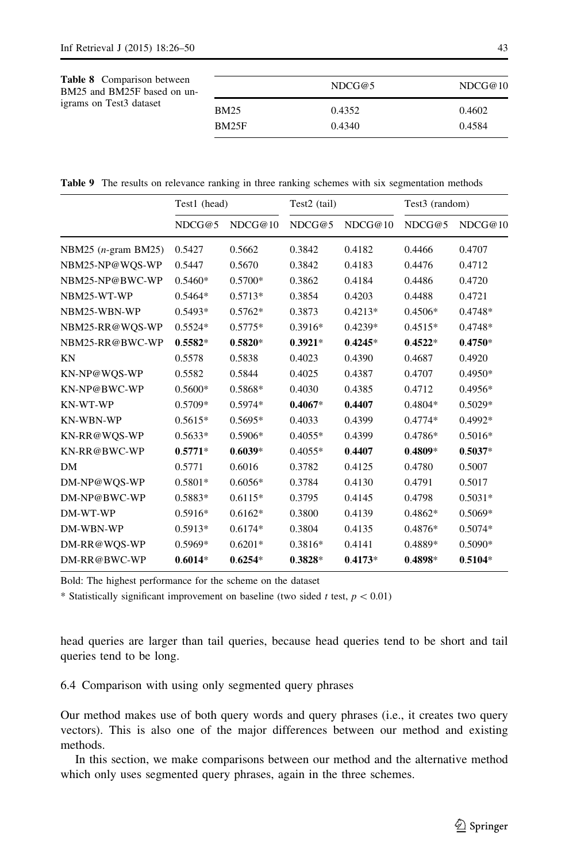<span id="page-17-0"></span>

| <b>Table 8</b> Comparison between<br>BM25 and BM25F based on un- |              | NDCG@5 | NDCG@10 |
|------------------------------------------------------------------|--------------|--------|---------|
| igrams on Test3 dataset                                          | <b>BM25</b>  | 0.4352 | 0.4602  |
|                                                                  | <b>BM25F</b> | 0.4340 | 0.4584  |

Table 9 The results on relevance ranking in three ranking schemes with six segmentation methods

|                              | Test1 (head) |           | Test <sub>2</sub> (tail) |           | Test3 (random) |           |
|------------------------------|--------------|-----------|--------------------------|-----------|----------------|-----------|
|                              | NDCG@5       | NDCG@10   | NDCG@5                   | NDCG@10   | NDCG@5         | NDCG@10   |
| NBM25 $(n\text{-gram BM25})$ | 0.5427       | 0.5662    | 0.3842                   | 0.4182    | 0.4466         | 0.4707    |
| NBM25-NP@WOS-WP              | 0.5447       | 0.5670    | 0.3842                   | 0.4183    | 0.4476         | 0.4712    |
| NBM25-NP@BWC-WP              | $0.5460*$    | 0.5700*   | 0.3862                   | 0.4184    | 0.4486         | 0.4720    |
| NBM25-WT-WP                  | $0.5464*$    | $0.5713*$ | 0.3854                   | 0.4203    | 0.4488         | 0.4721    |
| NBM25-WBN-WP                 | $0.5493*$    | $0.5762*$ | 0.3873                   | $0.4213*$ | $0.4506*$      | 0.4748*   |
| NBM25-RR@WOS-WP              | $0.5524*$    | $0.5775*$ | 0.3916*                  | $0.4239*$ | $0.4515*$      | 0.4748*   |
| NBM25-RR@BWC-WP              | $0.5582*$    | $0.5820*$ | $0.3921*$                | $0.4245*$ | $0.4522*$      | $0.4750*$ |
| KN                           | 0.5578       | 0.5838    | 0.4023                   | 0.4390    | 0.4687         | 0.4920    |
| KN-NP@WQS-WP                 | 0.5582       | 0.5844    | 0.4025                   | 0.4387    | 0.4707         | $0.4950*$ |
| KN-NP@BWC-WP                 | 0.5600*      | 0.5868*   | 0.4030                   | 0.4385    | 0.4712         | 0.4956*   |
| KN-WT-WP                     | 0.5709*      | 0.5974*   | $0.4067*$                | 0.4407    | 0.4804*        | 0.5029*   |
| <b>KN-WBN-WP</b>             | $0.5615*$    | $0.5695*$ | 0.4033                   | 0.4399    | $0.4774*$      | 0.4992*   |
| KN-RR@WQS-WP                 | $0.5633*$    | 0.5906*   | $0.4055*$                | 0.4399    | 0.4786*        | $0.5016*$ |
| KN-RR@BWC-WP                 | $0.5771*$    | $0.6039*$ | $0.4055*$                | 0.4407    | $0.4809*$      | $0.5037*$ |
| DM                           | 0.5771       | 0.6016    | 0.3782                   | 0.4125    | 0.4780         | 0.5007    |
| DM-NP@WQS-WP                 | 0.5801*      | $0.6056*$ | 0.3784                   | 0.4130    | 0.4791         | 0.5017    |
| DM-NP@BWC-WP                 | 0.5883*      | $0.6115*$ | 0.3795                   | 0.4145    | 0.4798         | $0.5031*$ |
| DM-WT-WP                     | 0.5916*      | $0.6162*$ | 0.3800                   | 0.4139    | 0.4862*        | 0.5069*   |
| DM-WBN-WP                    | $0.5913*$    | $0.6174*$ | 0.3804                   | 0.4135    | 0.4876*        | $0.5074*$ |
| DM-RR@WQS-WP                 | 0.5969*      | $0.6201*$ | 0.3816*                  | 0.4141    | 0.4889*        | 0.5090*   |
| DM-RR@BWC-WP                 | $0.6014*$    | $0.6254*$ | $0.3828*$                | $0.4173*$ | $0.4898*$      | $0.5104*$ |

Bold: The highest performance for the scheme on the dataset

\* Statistically significant improvement on baseline (two sided t test,  $p < 0.01$ )

head queries are larger than tail queries, because head queries tend to be short and tail queries tend to be long.

6.4 Comparison with using only segmented query phrases

Our method makes use of both query words and query phrases (i.e., it creates two query vectors). This is also one of the major differences between our method and existing methods.

In this section, we make comparisons between our method and the alternative method which only uses segmented query phrases, again in the three schemes.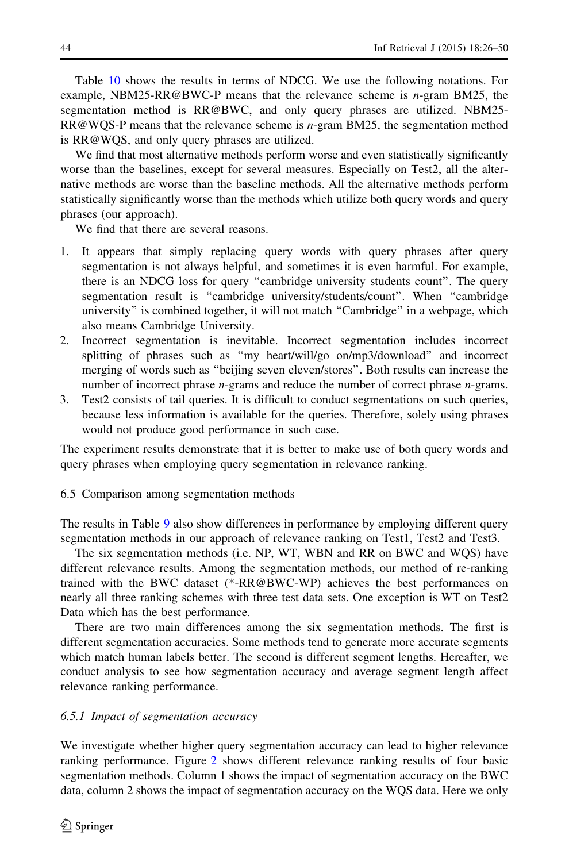Table [10](#page-20-0) shows the results in terms of NDCG. We use the following notations. For example, NBM25-RR@BWC-P means that the relevance scheme is *n*-gram BM25, the segmentation method is RR@BWC, and only query phrases are utilized. NBM25-  $RR@WOS-P$  means that the relevance scheme is *n*-gram BM25, the segmentation method is RR@WQS, and only query phrases are utilized.

We find that most alternative methods perform worse and even statistically significantly worse than the baselines, except for several measures. Especially on Test2, all the alternative methods are worse than the baseline methods. All the alternative methods perform statistically significantly worse than the methods which utilize both query words and query phrases (our approach).

We find that there are several reasons.

- 1. It appears that simply replacing query words with query phrases after query segmentation is not always helpful, and sometimes it is even harmful. For example, there is an NDCG loss for query ''cambridge university students count''. The query segmentation result is ''cambridge university/students/count''. When ''cambridge university'' is combined together, it will not match ''Cambridge'' in a webpage, which also means Cambridge University.
- 2. Incorrect segmentation is inevitable. Incorrect segmentation includes incorrect splitting of phrases such as ''my heart/will/go on/mp3/download'' and incorrect merging of words such as ''beijing seven eleven/stores''. Both results can increase the number of incorrect phrase *n*-grams and reduce the number of correct phrase *n*-grams.
- 3. Test2 consists of tail queries. It is difficult to conduct segmentations on such queries, because less information is available for the queries. Therefore, solely using phrases would not produce good performance in such case.

The experiment results demonstrate that it is better to make use of both query words and query phrases when employing query segmentation in relevance ranking.

6.5 Comparison among segmentation methods

The results in Table [9](#page-17-0) also show differences in performance by employing different query segmentation methods in our approach of relevance ranking on Test1, Test2 and Test3.

The six segmentation methods (i.e. NP, WT, WBN and RR on BWC and WQS) have different relevance results. Among the segmentation methods, our method of re-ranking trained with the BWC dataset (\*-RR@BWC-WP) achieves the best performances on nearly all three ranking schemes with three test data sets. One exception is WT on Test2 Data which has the best performance.

There are two main differences among the six segmentation methods. The first is different segmentation accuracies. Some methods tend to generate more accurate segments which match human labels better. The second is different segment lengths. Hereafter, we conduct analysis to see how segmentation accuracy and average segment length affect relevance ranking performance.

# 6.5.1 Impact of segmentation accuracy

We investigate whether higher query segmentation accuracy can lead to higher relevance ranking performance. Figure [2](#page-21-0) shows different relevance ranking results of four basic segmentation methods. Column 1 shows the impact of segmentation accuracy on the BWC data, column 2 shows the impact of segmentation accuracy on the WQS data. Here we only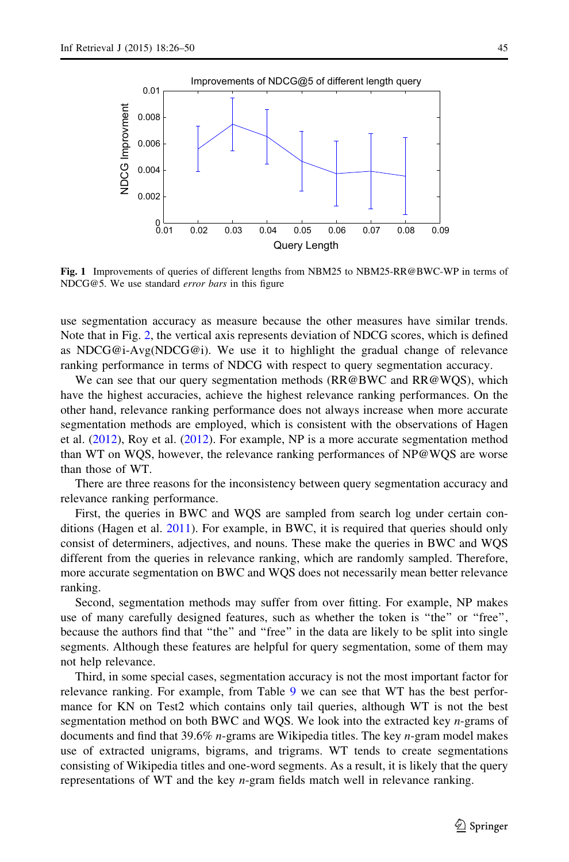<span id="page-19-0"></span>

Fig. 1 Improvements of queries of different lengths from NBM25 to NBM25-RR@BWC-WP in terms of NDCG@5. We use standard error bars in this figure

use segmentation accuracy as measure because the other measures have similar trends. Note that in Fig. [2](#page-21-0), the vertical axis represents deviation of NDCG scores, which is defined as NDCG@i-Avg(NDCG@i). We use it to highlight the gradual change of relevance ranking performance in terms of NDCG with respect to query segmentation accuracy.

We can see that our query segmentation methods (RR@BWC and RR@WOS), which have the highest accuracies, achieve the highest relevance ranking performances. On the other hand, relevance ranking performance does not always increase when more accurate segmentation methods are employed, which is consistent with the observations of Hagen et al. ([2012\)](#page-24-0), Roy et al. [\(2012](#page-24-0)). For example, NP is a more accurate segmentation method than WT on WQS, however, the relevance ranking performances of NP@WQS are worse than those of WT.

There are three reasons for the inconsistency between query segmentation accuracy and relevance ranking performance.

First, the queries in BWC and WQS are sampled from search log under certain conditions (Hagen et al. [2011\)](#page-24-0). For example, in BWC, it is required that queries should only consist of determiners, adjectives, and nouns. These make the queries in BWC and WQS different from the queries in relevance ranking, which are randomly sampled. Therefore, more accurate segmentation on BWC and WQS does not necessarily mean better relevance ranking.

Second, segmentation methods may suffer from over fitting. For example, NP makes use of many carefully designed features, such as whether the token is "the" or "free", because the authors find that ''the'' and ''free'' in the data are likely to be split into single segments. Although these features are helpful for query segmentation, some of them may not help relevance.

Third, in some special cases, segmentation accuracy is not the most important factor for relevance ranking. For example, from Table [9](#page-17-0) we can see that WT has the best performance for KN on Test2 which contains only tail queries, although WT is not the best segmentation method on both BWC and WQS. We look into the extracted key  $n$ -grams of documents and find that 39.6% *n*-grams are Wikipedia titles. The key *n*-gram model makes use of extracted unigrams, bigrams, and trigrams. WT tends to create segmentations consisting of Wikipedia titles and one-word segments. As a result, it is likely that the query representations of WT and the key *n*-gram fields match well in relevance ranking.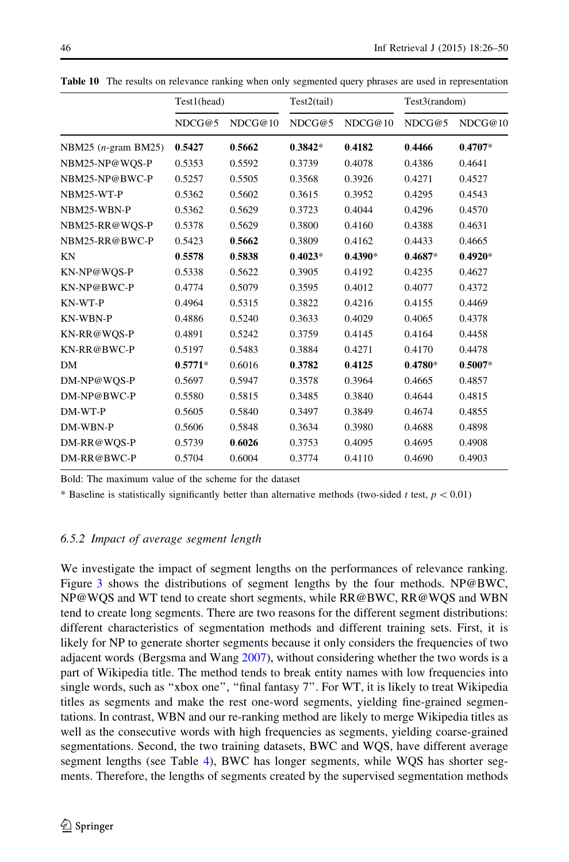| Test1(head) |         | Test2(tail) |           | Test3(random) |           |
|-------------|---------|-------------|-----------|---------------|-----------|
| NDCG@5      | NDCG@10 | NDCG@5      | NDCG@10   | NDCG@5        | NDCG@10   |
| 0.5427      | 0.5662  | $0.3842*$   | 0.4182    | 0.4466        | $0.4707*$ |
| 0.5353      | 0.5592  | 0.3739      | 0.4078    | 0.4386        | 0.4641    |
| 0.5257      | 0.5505  | 0.3568      | 0.3926    | 0.4271        | 0.4527    |
| 0.5362      | 0.5602  | 0.3615      | 0.3952    | 0.4295        | 0.4543    |
| 0.5362      | 0.5629  | 0.3723      | 0.4044    | 0.4296        | 0.4570    |
| 0.5378      | 0.5629  | 0.3800      | 0.4160    | 0.4388        | 0.4631    |
| 0.5423      | 0.5662  | 0.3809      | 0.4162    | 0.4433        | 0.4665    |
| 0.5578      | 0.5838  | $0.4023*$   | $0.4390*$ | $0.4687*$     | $0.4920*$ |
| 0.5338      | 0.5622  | 0.3905      | 0.4192    | 0.4235        | 0.4627    |
| 0.4774      | 0.5079  | 0.3595      | 0.4012    | 0.4077        | 0.4372    |
| 0.4964      | 0.5315  | 0.3822      | 0.4216    | 0.4155        | 0.4469    |
| 0.4886      | 0.5240  | 0.3633      | 0.4029    | 0.4065        | 0.4378    |
| 0.4891      | 0.5242  | 0.3759      | 0.4145    | 0.4164        | 0.4458    |
| 0.5197      | 0.5483  | 0.3884      | 0.4271    | 0.4170        | 0.4478    |
| $0.5771*$   | 0.6016  | 0.3782      | 0.4125    | $0.4780*$     | $0.5007*$ |
| 0.5697      | 0.5947  | 0.3578      | 0.3964    | 0.4665        | 0.4857    |
| 0.5580      | 0.5815  | 0.3485      | 0.3840    | 0.4644        | 0.4815    |
| 0.5605      | 0.5840  | 0.3497      | 0.3849    | 0.4674        | 0.4855    |
| 0.5606      | 0.5848  | 0.3634      | 0.3980    | 0.4688        | 0.4898    |
| 0.5739      | 0.6026  | 0.3753      | 0.4095    | 0.4695        | 0.4908    |
| 0.5704      | 0.6004  | 0.3774      | 0.4110    | 0.4690        | 0.4903    |
|             |         |             |           |               |           |

<span id="page-20-0"></span>Table 10 The results on relevance ranking when only segmented query phrases are used in representation

Bold: The maximum value of the scheme for the dataset

\* Baseline is statistically significantly better than alternative methods (two-sided t test,  $p < 0.01$ )

### 6.5.2 Impact of average segment length

We investigate the impact of segment lengths on the performances of relevance ranking. Figure [3](#page-22-0) shows the distributions of segment lengths by the four methods. NP@BWC, NP@WQS and WT tend to create short segments, while RR@BWC, RR@WQS and WBN tend to create long segments. There are two reasons for the different segment distributions: different characteristics of segmentation methods and different training sets. First, it is likely for NP to generate shorter segments because it only considers the frequencies of two adjacent words (Bergsma and Wang [2007\)](#page-24-0), without considering whether the two words is a part of Wikipedia title. The method tends to break entity names with low frequencies into single words, such as ''xbox one'', ''final fantasy 7''. For WT, it is likely to treat Wikipedia titles as segments and make the rest one-word segments, yielding fine-grained segmentations. In contrast, WBN and our re-ranking method are likely to merge Wikipedia titles as well as the consecutive words with high frequencies as segments, yielding coarse-grained segmentations. Second, the two training datasets, BWC and WQS, have different average segment lengths (see Table [4\)](#page-12-0), BWC has longer segments, while WQS has shorter segments. Therefore, the lengths of segments created by the supervised segmentation methods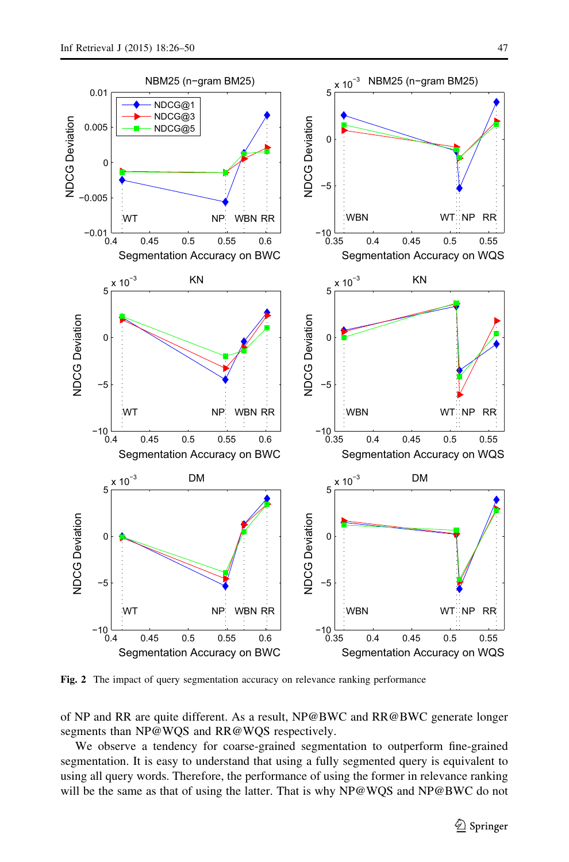<span id="page-21-0"></span>

Fig. 2 The impact of query segmentation accuracy on relevance ranking performance

of NP and RR are quite different. As a result, NP@BWC and RR@BWC generate longer segments than NP@WQS and RR@WQS respectively.

We observe a tendency for coarse-grained segmentation to outperform fine-grained segmentation. It is easy to understand that using a fully segmented query is equivalent to using all query words. Therefore, the performance of using the former in relevance ranking will be the same as that of using the latter. That is why NP@WQS and NP@BWC do not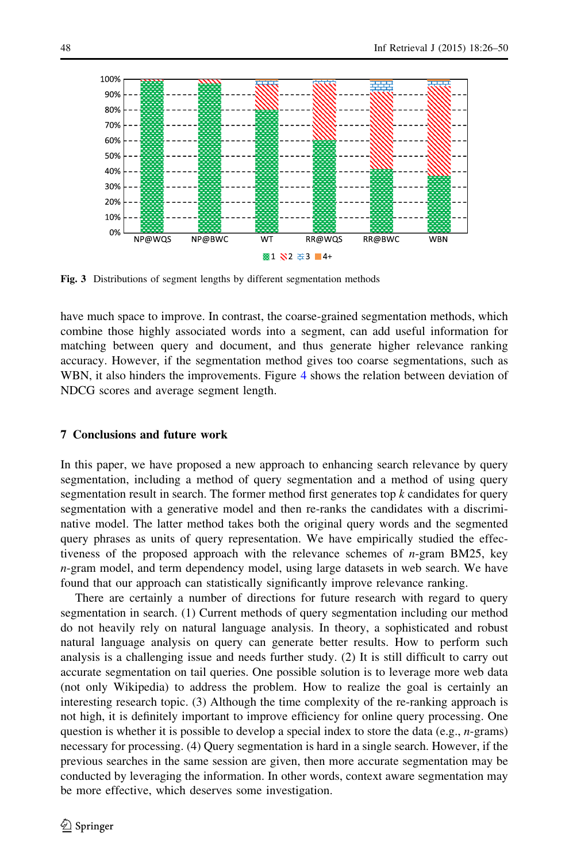<span id="page-22-0"></span>

Fig. 3 Distributions of segment lengths by different segmentation methods

have much space to improve. In contrast, the coarse-grained segmentation methods, which combine those highly associated words into a segment, can add useful information for matching between query and document, and thus generate higher relevance ranking accuracy. However, if the segmentation method gives too coarse segmentations, such as WBN, it also hinders the improvements. Figure [4](#page-23-0) shows the relation between deviation of NDCG scores and average segment length.

# 7 Conclusions and future work

In this paper, we have proposed a new approach to enhancing search relevance by query segmentation, including a method of query segmentation and a method of using query segmentation result in search. The former method first generates top  $k$  candidates for query segmentation with a generative model and then re-ranks the candidates with a discriminative model. The latter method takes both the original query words and the segmented query phrases as units of query representation. We have empirically studied the effectiveness of the proposed approach with the relevance schemes of  $n$ -gram BM25, key  $n$ -gram model, and term dependency model, using large datasets in web search. We have found that our approach can statistically significantly improve relevance ranking.

There are certainly a number of directions for future research with regard to query segmentation in search. (1) Current methods of query segmentation including our method do not heavily rely on natural language analysis. In theory, a sophisticated and robust natural language analysis on query can generate better results. How to perform such analysis is a challenging issue and needs further study. (2) It is still difficult to carry out accurate segmentation on tail queries. One possible solution is to leverage more web data (not only Wikipedia) to address the problem. How to realize the goal is certainly an interesting research topic. (3) Although the time complexity of the re-ranking approach is not high, it is definitely important to improve efficiency for online query processing. One question is whether it is possible to develop a special index to store the data (e.g.,  $n$ -grams) necessary for processing. (4) Query segmentation is hard in a single search. However, if the previous searches in the same session are given, then more accurate segmentation may be conducted by leveraging the information. In other words, context aware segmentation may be more effective, which deserves some investigation.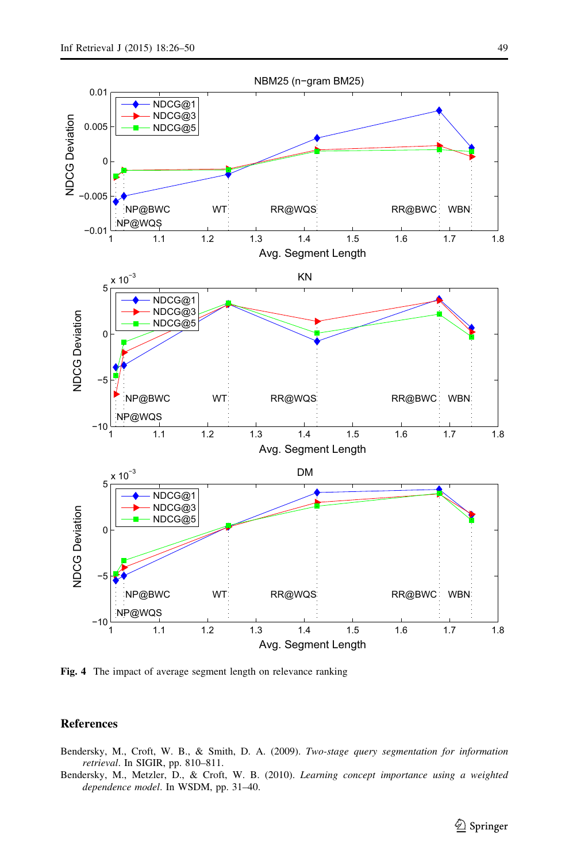<span id="page-23-0"></span>

Fig. 4 The impact of average segment length on relevance ranking

# References

- Bendersky, M., Croft, W. B., & Smith, D. A. (2009). Two-stage query segmentation for information retrieval. In SIGIR, pp. 810–811.
- Bendersky, M., Metzler, D., & Croft, W. B. (2010). Learning concept importance using a weighted dependence model. In WSDM, pp. 31–40.